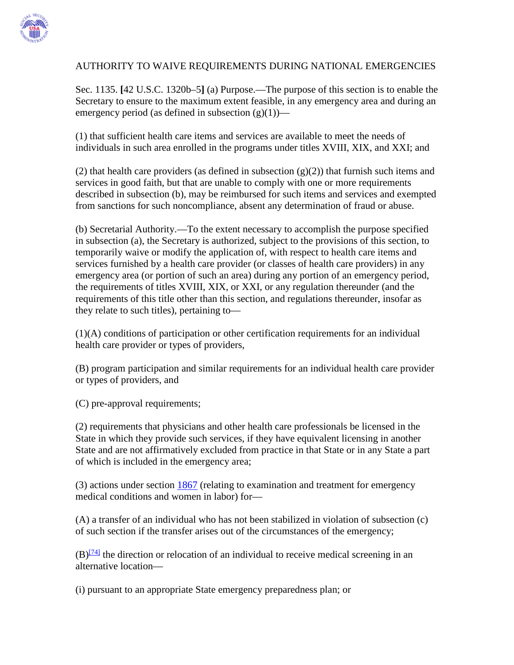

## AUTHORITY TO WAIVE REQUIREMENTS DURING NATIONAL EMERGENCIES

Sec. 1135. **[**42 U.S.C. 1320b–5**]** (a) Purpose.—The purpose of this section is to enable the Secretary to ensure to the maximum extent feasible, in any emergency area and during an emergency period (as defined in subsection  $(g)(1)$ )—

(1) that sufficient health care items and services are available to meet the needs of individuals in such area enrolled in the programs under titles XVIII, XIX, and XXI; and

(2) that health care providers (as defined in subsection  $(g)(2)$ ) that furnish such items and services in good faith, but that are unable to comply with one or more requirements described in subsection (b), may be reimbursed for such items and services and exempted from sanctions for such noncompliance, absent any determination of fraud or abuse.

(b) Secretarial Authority.—To the extent necessary to accomplish the purpose specified in subsection (a), the Secretary is authorized, subject to the provisions of this section, to temporarily waive or modify the application of, with respect to health care items and services furnished by a health care provider (or classes of health care providers) in any emergency area (or portion of such an area) during any portion of an emergency period, the requirements of titles XVIII, XIX, or XXI, or any regulation thereunder (and the requirements of this title other than this section, and regulations thereunder, insofar as they relate to such titles), pertaining to—

(1)(A) conditions of participation or other certification requirements for an individual health care provider or types of providers,

(B) program participation and similar requirements for an individual health care provider or types of providers, and

(C) pre-approval requirements;

(2) requirements that physicians and other health care professionals be licensed in the State in which they provide such services, if they have equivalent licensing in another State and are not affirmatively excluded from practice in that State or in any State a part of which is included in the emergency area;

(3) actions under section [1867](http://www.ssa.gov/OP_Home/ssact/title18/1867.htm) (relating to examination and treatment for emergency medical conditions and women in labor) for—

(A) a transfer of an individual who has not been stabilized in violation of subsection (c) of such section if the transfer arises out of the circumstances of the emergency;

 $(B)^{74}$  the direction or relocation of an individual to receive medical screening in an alternative location—

(i) pursuant to an appropriate State emergency preparedness plan; or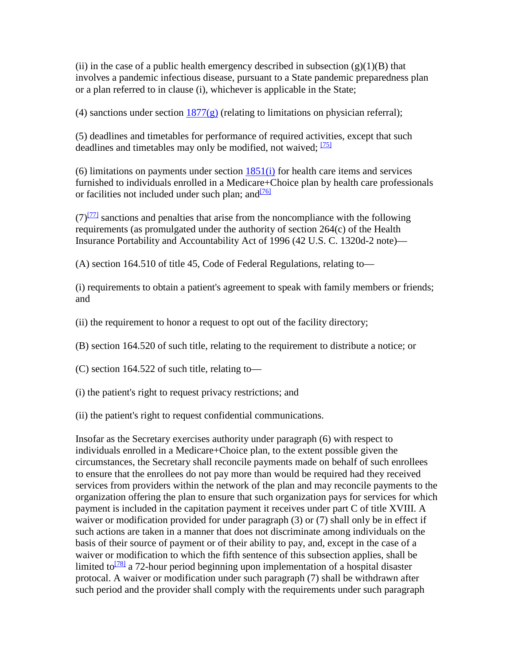(ii) in the case of a public health emergency described in subsection  $(g)(1)(B)$  that involves a pandemic infectious disease, pursuant to a State pandemic preparedness plan or a plan referred to in clause (i), whichever is applicable in the State;

(4) sanctions under section  $1877(g)$  (relating to limitations on physician referral);

(5) deadlines and timetables for performance of required activities, except that such deadlines and timetables may only be modified, not waived; <sup>[75]</sup>

(6) limitations on payments under section  $1851(i)$  for health care items and services furnished to individuals enrolled in a Medicare+Choice plan by health care professionals or facilities not included under such plan; and  $\frac{76}{6}$ 

 $(7)^{771}$  sanctions and penalties that arise from the noncompliance with the following requirements (as promulgated under the authority of section 264(c) of the Health Insurance Portability and Accountability Act of 1996 (42 U.S. C. 1320d-2 note)—

(A) section 164.510 of title 45, Code of Federal Regulations, relating to—

(i) requirements to obtain a patient's agreement to speak with family members or friends; and

(ii) the requirement to honor a request to opt out of the facility directory;

(B) section 164.520 of such title, relating to the requirement to distribute a notice; or

(C) section 164.522 of such title, relating to—

(i) the patient's right to request privacy restrictions; and

(ii) the patient's right to request confidential communications.

Insofar as the Secretary exercises authority under paragraph (6) with respect to individuals enrolled in a Medicare+Choice plan, to the extent possible given the circumstances, the Secretary shall reconcile payments made on behalf of such enrollees to ensure that the enrollees do not pay more than would be required had they received services from providers within the network of the plan and may reconcile payments to the organization offering the plan to ensure that such organization pays for services for which payment is included in the capitation payment it receives under part C of title XVIII. A waiver or modification provided for under paragraph (3) or (7) shall only be in effect if such actions are taken in a manner that does not discriminate among individuals on the basis of their source of payment or of their ability to pay, and, except in the case of a waiver or modification to which the fifth sentence of this subsection applies, shall be limited to<sup>[78]</sup> a 72-hour period beginning upon implementation of a hospital disaster protocal. A waiver or modification under such paragraph (7) shall be withdrawn after such period and the provider shall comply with the requirements under such paragraph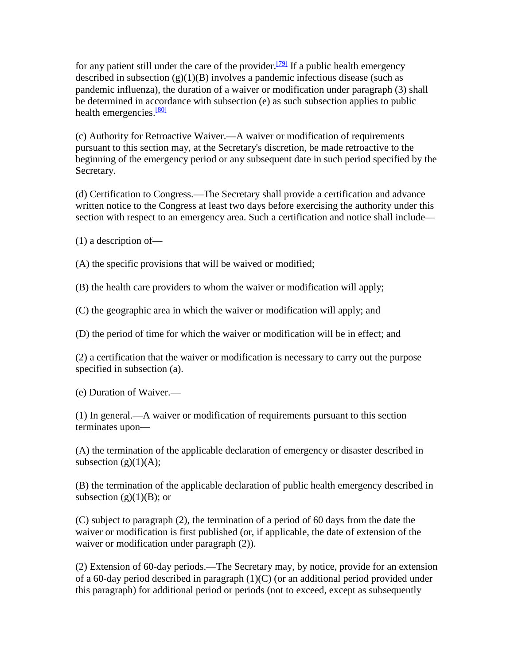for any patient still under the care of the provider.<sup>[79]</sup> If a public health emergency described in subsection  $(g)(1)(B)$  involves a pandemic infectious disease (such as pandemic influenza), the duration of a waiver or modification under paragraph (3) shall be determined in accordance with subsection (e) as such subsection applies to public health emergencies.<sup>[\[80\]](http://www.ssa.gov/OP_Home/ssact/title11/1135.htm#ft80#ft80)</sup>

(c) Authority for Retroactive Waiver.—A waiver or modification of requirements pursuant to this section may, at the Secretary's discretion, be made retroactive to the beginning of the emergency period or any subsequent date in such period specified by the Secretary.

(d) Certification to Congress.—The Secretary shall provide a certification and advance written notice to the Congress at least two days before exercising the authority under this section with respect to an emergency area. Such a certification and notice shall include—

(1) a description of—

(A) the specific provisions that will be waived or modified;

(B) the health care providers to whom the waiver or modification will apply;

(C) the geographic area in which the waiver or modification will apply; and

(D) the period of time for which the waiver or modification will be in effect; and

(2) a certification that the waiver or modification is necessary to carry out the purpose specified in subsection (a).

(e) Duration of Waiver.—

(1) In general.—A waiver or modification of requirements pursuant to this section terminates upon—

(A) the termination of the applicable declaration of emergency or disaster described in subsection  $(g)(1)(A)$ ;

(B) the termination of the applicable declaration of public health emergency described in subsection  $(g)(1)(B)$ ; or

(C) subject to paragraph (2), the termination of a period of 60 days from the date the waiver or modification is first published (or, if applicable, the date of extension of the waiver or modification under paragraph  $(2)$ ).

(2) Extension of 60-day periods.—The Secretary may, by notice, provide for an extension of a 60-day period described in paragraph (1)(C) (or an additional period provided under this paragraph) for additional period or periods (not to exceed, except as subsequently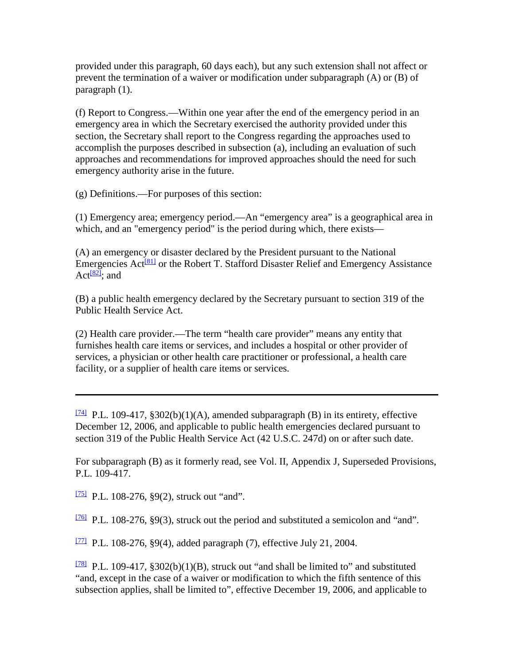provided under this paragraph, 60 days each), but any such extension shall not affect or prevent the termination of a waiver or modification under subparagraph (A) or (B) of paragraph (1).

(f) Report to Congress.—Within one year after the end of the emergency period in an emergency area in which the Secretary exercised the authority provided under this section, the Secretary shall report to the Congress regarding the approaches used to accomplish the purposes described in subsection (a), including an evaluation of such approaches and recommendations for improved approaches should the need for such emergency authority arise in the future.

(g) Definitions.—For purposes of this section:

(1) Emergency area; emergency period.—An "emergency area" is a geographical area in which, and an "emergency period" is the period during which, there exists—

(A) an emergency or disaster declared by the President pursuant to the National Emergencies  $Act^{\{81\}}$  or the Robert T. Stafford Disaster Relief and Emergency Assistance Act $\frac{[82]}{2}$ ; and

(B) a public health emergency declared by the Secretary pursuant to section 319 of the Public Health Service Act.

(2) Health care provider.—The term "health care provider" means any entity that furnishes health care items or services, and includes a hospital or other provider of services, a physician or other health care practitioner or professional, a health care facility, or a supplier of health care items or services.

[\[74\]](http://www.ssa.gov/OP_Home/ssact/title11/1135.htm#ftn74#ftn74) P.L. 109-417, §302(b)(1)(A), amended subparagraph (B) in its entirety, effective December 12, 2006, and applicable to public health emergencies declared pursuant to section 319 of the Public Health Service Act (42 U.S.C. 247d) on or after such date.

For subparagraph (B) as it formerly read, see Vol. II, Appendix J, Superseded Provisions, P.L. 109-417.

[\[75\]](http://www.ssa.gov/OP_Home/ssact/title11/1135.htm#ftn75#ftn75) P.L. 108-276, §9(2), struck out "and".

 $\frac{176}{2}$  P.L. 108-276, §9(3), struck out the period and substituted a semicolon and "and".

[\[77\]](http://www.ssa.gov/OP_Home/ssact/title11/1135.htm#ftn77#ftn77) P.L. 108-276, §9(4), added paragraph (7), effective July 21, 2004.

[\[78\]](http://www.ssa.gov/OP_Home/ssact/title11/1135.htm#ftn78#ftn78) P.L. 109-417,  $\S 302(b)(1)(B)$ , struck out "and shall be limited to" and substituted "and, except in the case of a waiver or modification to which the fifth sentence of this subsection applies, shall be limited to", effective December 19, 2006, and applicable to